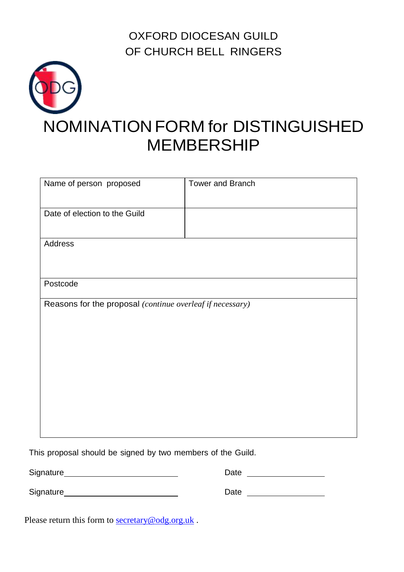OXFORD DIOCESAN GUILD OF CHURCH BELL RINGERS



| Name of person proposed                                   | <b>Tower and Branch</b>            |  |
|-----------------------------------------------------------|------------------------------------|--|
| Date of election to the Guild                             |                                    |  |
| Address                                                   |                                    |  |
|                                                           |                                    |  |
| Postcode                                                  |                                    |  |
| Reasons for the proposal (continue overleaf if necessary) |                                    |  |
|                                                           |                                    |  |
|                                                           |                                    |  |
|                                                           |                                    |  |
|                                                           |                                    |  |
|                                                           |                                    |  |
|                                                           |                                    |  |
|                                                           |                                    |  |
|                                                           | $\mathbf{r}$ and $\mathbf{r}$<br>. |  |

This proposal should be signed by two members of the Guild.

| Signature | Date |
|-----------|------|
|           |      |

Signature Date

Please return this form to **secretary@odg.org.uk**.